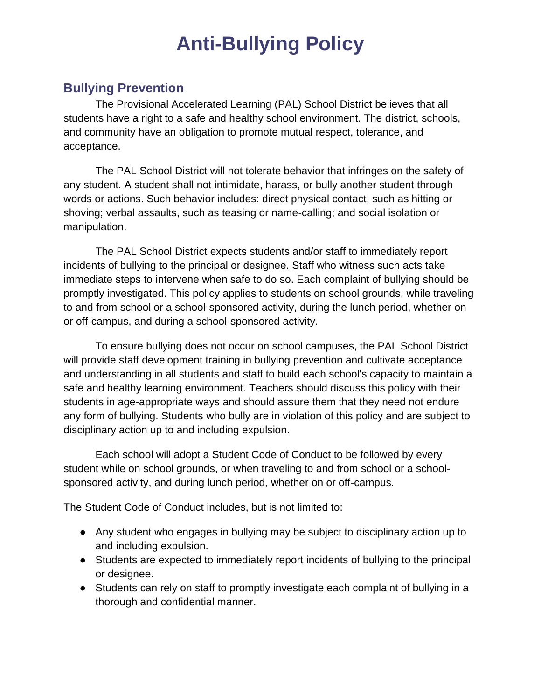## **Anti-Bullying Policy**

## **Bullying Prevention**

The Provisional Accelerated Learning (PAL) School District believes that all students have a right to a safe and healthy school environment. The district, schools, and community have an obligation to promote mutual respect, tolerance, and acceptance.

The PAL School District will not tolerate behavior that infringes on the safety of any student. A student shall not intimidate, harass, or bully another student through words or actions. Such behavior includes: direct physical contact, such as hitting or shoving; verbal assaults, such as teasing or name-calling; and social isolation or manipulation.

The PAL School District expects students and/or staff to immediately report incidents of bullying to the principal or designee. Staff who witness such acts take immediate steps to intervene when safe to do so. Each complaint of bullying should be promptly investigated. This policy applies to students on school grounds, while traveling to and from school or a school-sponsored activity, during the lunch period, whether on or off-campus, and during a school-sponsored activity.

To ensure bullying does not occur on school campuses, the PAL School District will provide staff development training in bullying prevention and cultivate acceptance and understanding in all students and staff to build each school's capacity to maintain a safe and healthy learning environment. Teachers should discuss this policy with their students in age-appropriate ways and should assure them that they need not endure any form of bullying. Students who bully are in violation of this policy and are subject to disciplinary action up to and including expulsion.

Each school will adopt a Student Code of Conduct to be followed by every student while on school grounds, or when traveling to and from school or a schoolsponsored activity, and during lunch period, whether on or off-campus.

The Student Code of Conduct includes, but is not limited to:

- Any student who engages in bullying may be subject to disciplinary action up to and including expulsion.
- Students are expected to immediately report incidents of bullying to the principal or designee.
- Students can rely on staff to promptly investigate each complaint of bullying in a thorough and confidential manner.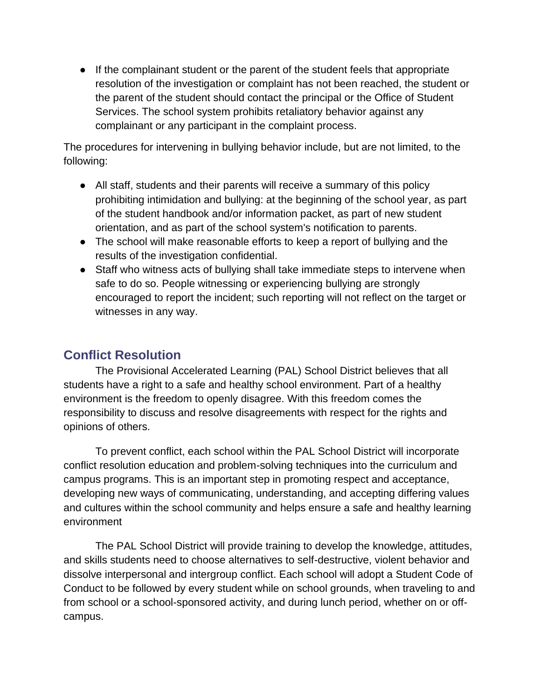● If the complainant student or the parent of the student feels that appropriate resolution of the investigation or complaint has not been reached, the student or the parent of the student should contact the principal or the Office of Student Services. The school system prohibits retaliatory behavior against any complainant or any participant in the complaint process.

The procedures for intervening in bullying behavior include, but are not limited, to the following:

- All staff, students and their parents will receive a summary of this policy prohibiting intimidation and bullying: at the beginning of the school year, as part of the student handbook and/or information packet, as part of new student orientation, and as part of the school system's notification to parents.
- The school will make reasonable efforts to keep a report of bullying and the results of the investigation confidential.
- Staff who witness acts of bullying shall take immediate steps to intervene when safe to do so. People witnessing or experiencing bullying are strongly encouraged to report the incident; such reporting will not reflect on the target or witnesses in any way.

## **Conflict Resolution**

The Provisional Accelerated Learning (PAL) School District believes that all students have a right to a safe and healthy school environment. Part of a healthy environment is the freedom to openly disagree. With this freedom comes the responsibility to discuss and resolve disagreements with respect for the rights and opinions of others.

To prevent conflict, each school within the PAL School District will incorporate conflict resolution education and problem-solving techniques into the curriculum and campus programs. This is an important step in promoting respect and acceptance, developing new ways of communicating, understanding, and accepting differing values and cultures within the school community and helps ensure a safe and healthy learning environment

The PAL School District will provide training to develop the knowledge, attitudes, and skills students need to choose alternatives to self-destructive, violent behavior and dissolve interpersonal and intergroup conflict. Each school will adopt a Student Code of Conduct to be followed by every student while on school grounds, when traveling to and from school or a school-sponsored activity, and during lunch period, whether on or offcampus.